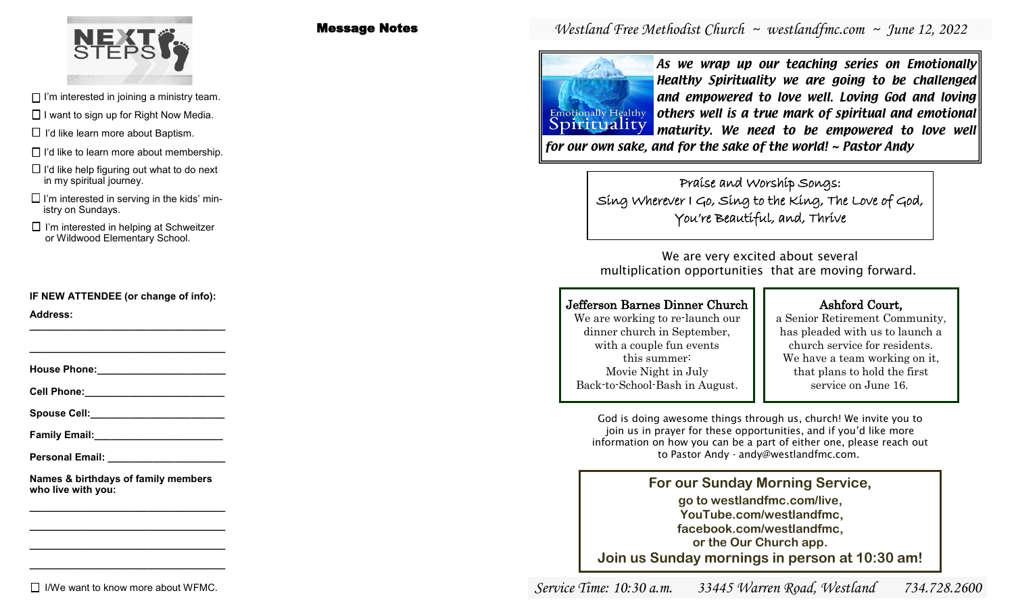

Message Notes

 $\Box$  I'm interested in joining a ministry team.

 $\Box$  I want to sign up for Right Now Media.

 $\Box$  I'd like learn more about Baptism.

 $\Box$  I'd like to learn more about membership.

 $\Box$  I'd like help figuring out what to do next in my spiritual journey.

 $\square$  I'm interested in serving in the kids' ministry on Sundays.

 $\Box$  I'm interested in helping at Schweitzer or Wildwood Elementary School.

**IF NEW ATTENDEE (or change of info):**

**\_\_\_\_\_\_\_\_\_\_\_\_\_\_\_\_\_\_\_\_\_\_\_\_\_\_\_\_\_\_\_\_\_\_\_**

**Address: \_\_\_\_\_\_\_\_\_\_\_\_\_\_\_\_\_\_\_\_\_\_\_\_\_\_\_\_\_\_\_\_\_\_\_**

**House Phone:\_\_\_\_\_\_\_\_\_\_\_\_\_\_\_\_\_\_\_\_\_\_\_**

**Cell Phone:\_\_\_\_\_\_\_\_\_\_\_\_\_\_\_\_\_\_\_\_\_\_\_\_\_**

Spouse Cell:

**Family Email:** 

**Personal Email: \_\_\_\_\_\_\_\_\_\_\_\_\_\_\_\_\_\_\_\_\_**

**Names & birthdays of family members who live with you:**

**\_\_\_\_\_\_\_\_\_\_\_\_\_\_\_\_\_\_\_\_\_\_\_\_\_\_\_\_\_\_\_\_\_\_\_ \_\_\_\_\_\_\_\_\_\_\_\_\_\_\_\_\_\_\_\_\_\_\_\_\_\_\_\_\_\_\_\_\_\_\_ \_\_\_\_\_\_\_\_\_\_\_\_\_\_\_\_\_\_\_\_\_\_\_\_\_\_\_\_\_\_\_\_\_\_\_ \_\_\_\_\_\_\_\_\_\_\_\_\_\_\_\_\_\_\_\_\_\_\_\_\_\_\_\_\_\_\_\_\_\_\_**

 $\Box$  I/We want to know more about WFMC.

# *Westland Free Methodist Church ~ westlandfmc.com ~ June 12, 2022*



As we wrap up our teaching series on Emotionally Healthy Spirituality we are going to be challenged and empowered to love well. Loving God and loving **Emotionally Healthy** others well is a true mark of spiritual and emotional maturity. We need to be empowered to love well

> Praise and Worship Songs: Sing Wherever I Go, Sing to the King, The Love of God, You're Beautiful, and, Thrive

We are very excited about several multiplication opportunities that are moving forward.

### Jefferson Barnes Dinner Church

We are working to re-launch our dinner church in September, with a couple fun events this summer: Movie Night in July Back-to-School-Bash in August.

### Ashford Court,

a Senior Retirement Community, has pleaded with us to launch a church service for residents. We have a team working on it, that plans to hold the first service on June 16.

God is doing awesome things through us, church! We invite you to join us in prayer for these opportunities, and if you'd like more information on how you can be a part of either one, please reach out to Pastor Andy - andy@westlandfmc.com.

**For our Sunday Morning Service, go to westlandfmc.com/live, YouTube.com/westlandfmc, facebook.com/westlandfmc, or the Our Church app. Join us Sunday mornings in person at 10:30 am!**